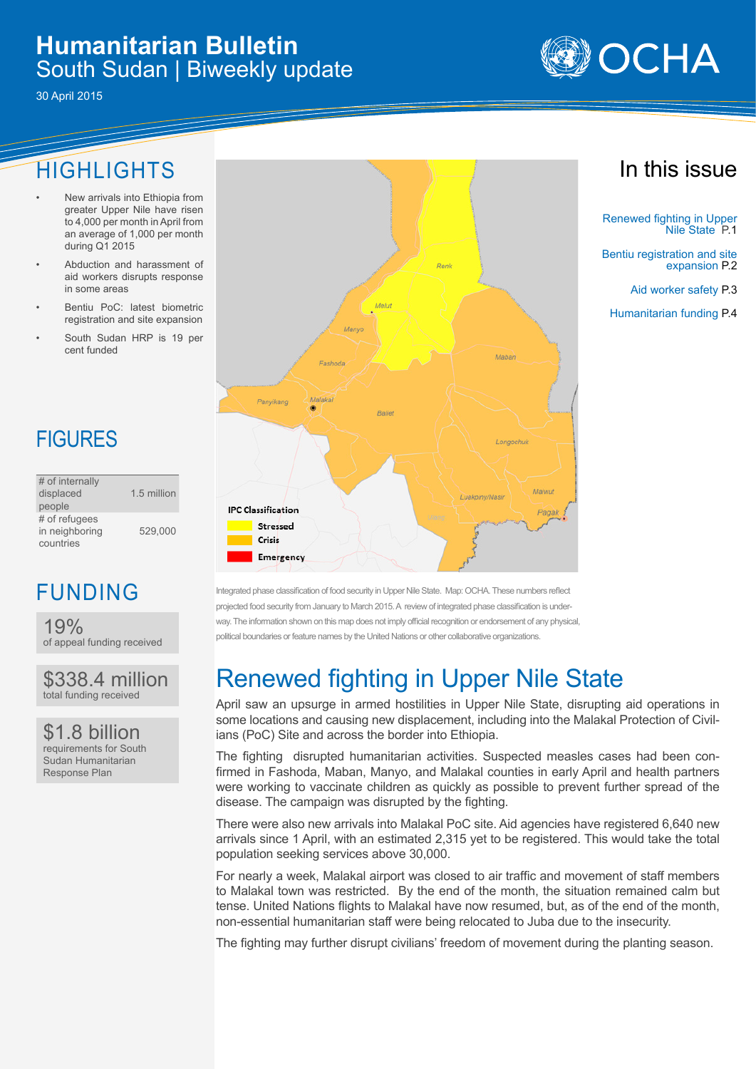### **Humanitarian Bulletin** South Sudan | Biweekly update

30 April 2015

## HIGHLIGHTS

- New arrivals into Ethiopia from greater Upper Nile have risen to 4,000 per month in April from an average of 1,000 per month during Q1 2015
- Abduction and harassment of aid workers disrupts response in some areas
- Bentiu PoC: latest biometric registration and site expansion
- South Sudan HRP is 19 per cent funded

# **FIGURES**

| # of internally |             |
|-----------------|-------------|
| displaced       | 1.5 million |
| people          |             |
| # of refugees   |             |
| in neighboring  | 529.000     |
| countries       |             |

## FUNDING

19% of appeal funding received

\$338.4 million total funding received

\$1.8 billion requirements for South Sudan Humanitarian Response Plan



Integrated phase classification of food security in Upper Nile State. Map: OCHA. These numbers reflect projected food security from January to March 2015. A review of integrated phase classification is underway. The information shown on this map does not imply official recognition or endorsement of any physical political boundaries or feature names by the United Nations or other collaborative organizations.

# Renewed fighting in Upper Nile State

April saw an upsurge in armed hostilities in Upper Nile State, disrupting aid operations in some locations and causing new displacement, including into the Malakal Protection of Civilians (PoC) Site and across the border into Ethiopia.

The fighting disrupted humanitarian activities. Suspected measles cases had been confirmed in Fashoda, Maban, Manyo, and Malakal counties in early April and health partners were working to vaccinate children as quickly as possible to prevent further spread of the disease. The campaign was disrupted by the fighting.

There were also new arrivals into Malakal PoC site. Aid agencies have registered 6,640 new arrivals since 1 April, with an estimated 2,315 yet to be registered. This would take the total population seeking services above 30,000.

For nearly a week, Malakal airport was closed to air traffic and movement of staff members to Malakal town was restricted. By the end of the month, the situation remained calm but tense. United Nations flights to Malakal have now resumed, but, as of the end of the month, non-essential humanitarian staff were being relocated to Juba due to the insecurity.

The fighting may further disrupt civilians' freedom of movement during the planting season.





Renewed fighting in Upper Nile State P.1

Bentiu registration and site expansion P.2

Aid worker safety P.3

Humanitarian funding P.4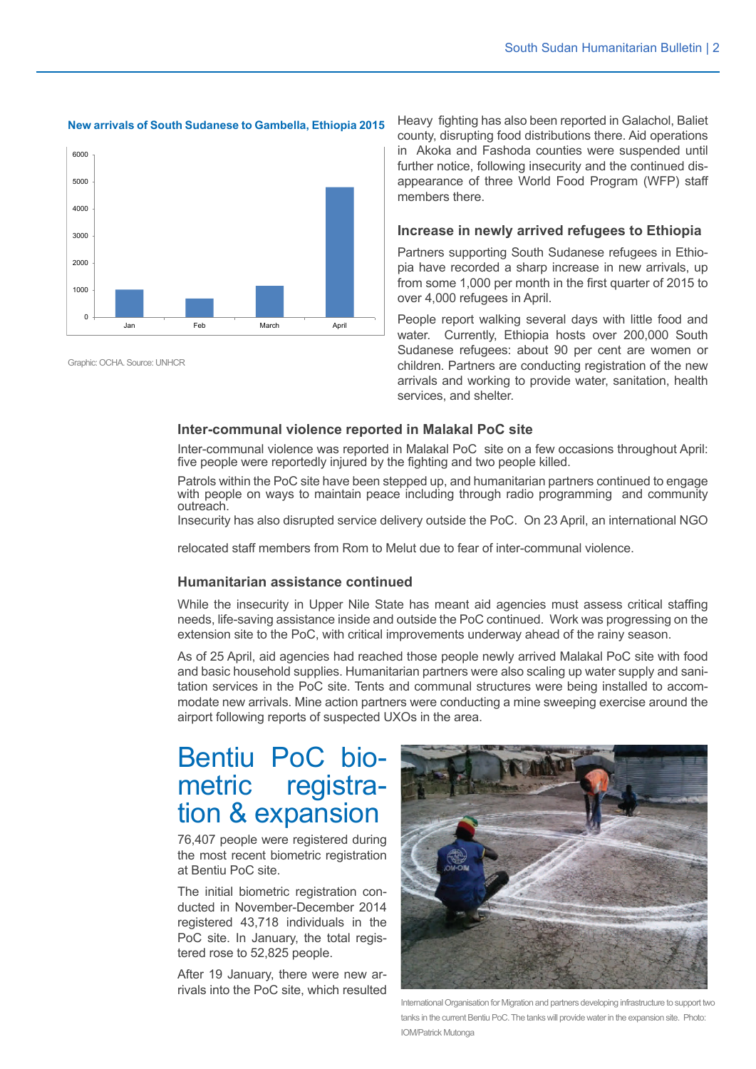#### **New arrivals of South Sudanese to Gambella, Ethiopia 2015**



Graphic: OCHA. Source: UNHCR

Heavy fighting has also been reported in Galachol, Baliet county, disrupting food distributions there. Aid operations in Akoka and Fashoda counties were suspended until further notice, following insecurity and the continued disappearance of three World Food Program (WFP) staff members there.

#### **Increase in newly arrived refugees to Ethiopia**

Partners supporting South Sudanese refugees in Ethiopia have recorded a sharp increase in new arrivals, up from some 1,000 per month in the first quarter of 2015 to over 4,000 refugees in April.

People report walking several days with little food and water. Currently, Ethiopia hosts over 200,000 South Sudanese refugees: about 90 per cent are women or children. Partners are conducting registration of the new arrivals and working to provide water, sanitation, health services, and shelter.

#### **Inter-communal violence reported in Malakal PoC site**

Inter-communal violence was reported in Malakal PoC site on a few occasions throughout April: five people were reportedly injured by the fighting and two people killed.

Patrols within the PoC site have been stepped up, and humanitarian partners continued to engage with people on ways to maintain peace including through radio programming and community outreach.

Insecurity has also disrupted service delivery outside the PoC. On 23 April, an international NGO

relocated staff members from Rom to Melut due to fear of inter-communal violence.

### **Humanitarian assistance continued**

While the insecurity in Upper Nile State has meant aid agencies must assess critical staffing needs, life-saving assistance inside and outside the PoC continued. Work was progressing on the extension site to the PoC, with critical improvements underway ahead of the rainy season.

As of 25 April, aid agencies had reached those people newly arrived Malakal PoC site with food and basic household supplies. Humanitarian partners were also scaling up water supply and sanitation services in the PoC site. Tents and communal structures were being installed to accommodate new arrivals. Mine action partners were conducting a mine sweeping exercise around the airport following reports of suspected UXOs in the area.

## Bentiu PoC biometric registration & expansion

76,407 people were registered during the most recent biometric registration at Bentiu PoC site.

The initial biometric registration conducted in November-December 2014 registered 43,718 individuals in the PoC site. In January, the total registered rose to 52,825 people.

After 19 January, there were new arrivals into the PoC site, which resulted



International Organisation for Migration and partners developing infrastructure to support two tanks in the current Bentiu PoC. The tanks will provide water in the expansion site. Photo: IOM/Patrick Mutonga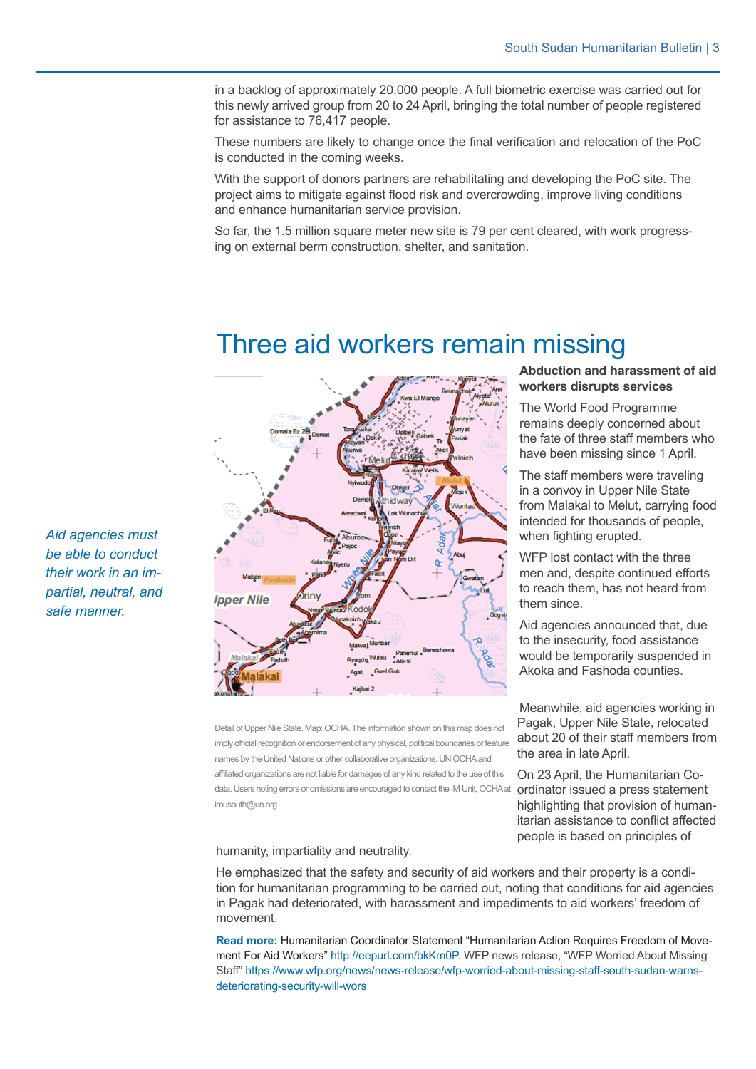Pagak, Upper Nile State, relocated about 20 of their staff members from

On 23 April, the Humanitarian Co-

highlighting that provision of humanitarian assistance to conflict affected people is based on principles of

the area in late April.

in a backlog of approximately 20,000 people. A full biometric exercise was carried out for this newly arrived group from 20 to 24 April, bringing the total number of people registered for assistance to 76,417 people.

These numbers are likely to change once the final verification and relocation of the PoC is conducted in the coming weeks.

With the support of donors partners are rehabilitating and developing the PoC site. The project aims to mitigate against flood risk and overcrowding, improve living conditions and enhance humanitarian service provision.

So far, the 1.5 million square meter new site is 79 per cent cleared, with work progressing on external berm construction, shelter, and sanitation.

### Three aid workers remain missing



data. Users noting errors or omissions are encouraged to contact the IM Unit, OCHA at **ordinator issued a press statement** Detail of Upper Nile State. Map: OCHA. The information shown on this map does not imply official recognition or endorsement of any physical, political boundaries or feature names by the United Nations or other collaborative organizations. UN OCHA and affiliated organizations are not liable for damages of any kind related to the use of this imusouth@un.org

humanity, impartiality and neutrality.

He emphasized that the safety and security of aid workers and their property is a condition for humanitarian programming to be carried out, noting that conditions for aid agencies in Pagak had deteriorated, with harassment and impediments to aid workers' freedom of movement.

**Read more:** Humanitarian Coordinator Statement "Humanitarian Action Requires Freedom of Movement For Aid Workers" http://eepurl.com/bkKm0P. WFP news release, "WFP Worried About Missing Staff" https://www.wfp.org/news/news-release/wfp-worried-about-missing-staff-south-sudan-warnsdeteriorating-security-will-wors

*Aid agencies must be able to conduct their work in an impartial, neutral, and safe manner.*